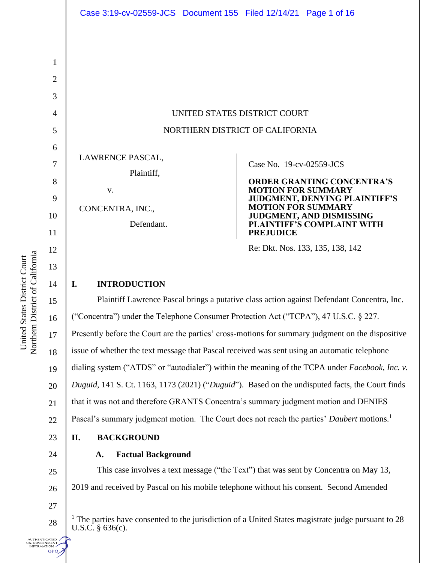UNITED STATES DISTRICT COURT NORTHERN DISTRICT OF CALIFORNIA

LAWRENCE PASCAL,

Plaintiff,

CONCENTRA, INC.,

v.

Defendant.

Case No. [19-cv-02559-JCS](https://ecf.cand.uscourts.gov/cgi-bin/DktRpt.pl?342053) 

**ORDER GRANTING CONCENTRA'S MOTION FOR SUMMARY JUDGMENT, DENYING PLAINTIFF'S MOTION FOR SUMMARY JUDGMENT, AND DISMISSING PLAINTIFF'S COMPLAINT WITH PREJUDICE**

Re: Dkt. Nos. 133, 135, 138, 142

# **I. INTRODUCTION**

16 22 23 Plaintiff Lawrence Pascal brings a putative class action against Defendant Concentra, Inc. ("Concentra") under the Telephone Consumer Protection Act ("TCPA"), 47 U.S.C. § 227. Presently before the Court are the parties' cross-motions for summary judgment on the dispositive issue of whether the text message that Pascal received was sent using an automatic telephone dialing system ("ATDS" or "autodialer") within the meaning of the TCPA under *Facebook, Inc. v. Duguid*, 141 S. Ct. 1163, 1173 (2021) ("*Duguid*"). Based on the undisputed facts, the Court finds that it was not and therefore GRANTS Concentra's summary judgment motion and DENIES Pascal's summary judgment motion. The Court does not reach the parties' *Daubert* motions.<sup>1</sup> **II. BACKGROUND**

## **A. Factual Background**

This case involves a text message ("the Text") that was sent by Concentra on May 13, 2019 and received by Pascal on his mobile telephone without his consent. Second Amended

1

2

3

4

5

6

7

8

9

10

11

12

13

14

15

17

18

19

20

21

24

25

26

27

28

**UTHENTICATED** .S. GOVERNMENT<br>INFORMATION **GPO** 

<sup>&</sup>lt;sup>1</sup> The parties have consented to the jurisdiction of a United States magistrate judge pursuant to 28 U.S.C. § 636(c).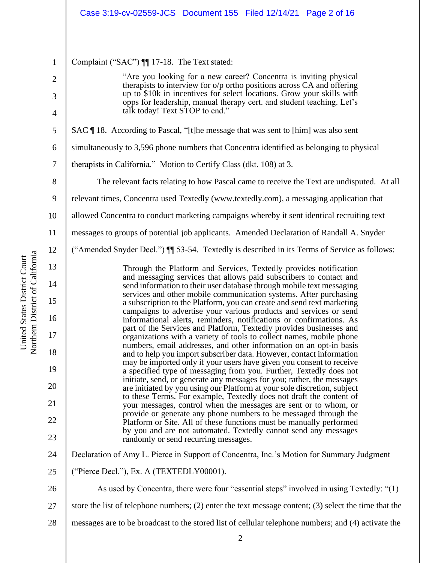|                | Case 3:19-cv-02559-JCS Document 155 Filed 12/14/21 Page 2 of 16                                                                                                                                                  |
|----------------|------------------------------------------------------------------------------------------------------------------------------------------------------------------------------------------------------------------|
| $\mathbf{1}$   | Complaint ("SAC") ¶ 17-18. The Text stated:                                                                                                                                                                      |
| $\overline{2}$ | "Are you looking for a new career? Concentra is inviting physical                                                                                                                                                |
| 3              | therapists to interview for o/p ortho positions across CA and offering<br>up to \$10k in incentives for select locations. Grow your skills with                                                                  |
| $\overline{4}$ | opps for leadership, manual therapy cert. and student teaching. Let's<br>talk today! Text STOP to end."                                                                                                          |
| 5              | SAC ¶ 18. According to Pascal, "[t]he message that was sent to [him] was also sent                                                                                                                               |
| 6              | simultaneously to 3,596 phone numbers that Concentra identified as belonging to physical                                                                                                                         |
| 7              | therapists in California." Motion to Certify Class (dkt. 108) at 3.                                                                                                                                              |
| 8              | The relevant facts relating to how Pascal came to receive the Text are undisputed. At all                                                                                                                        |
| 9              | relevant times, Concentra used Textedly (www.textedly.com), a messaging application that                                                                                                                         |
| 10             | allowed Concentra to conduct marketing campaigns whereby it sent identical recruiting text                                                                                                                       |
| 11             | messages to groups of potential job applicants. Amended Declaration of Randall A. Snyder                                                                                                                         |
| 12             | ("Amended Snyder Decl.") II 53-54. Textedly is described in its Terms of Service as follows:                                                                                                                     |
| 13             | Through the Platform and Services, Textedly provides notification                                                                                                                                                |
| 14             | and messaging services that allows paid subscribers to contact and<br>send information to their user database through mobile text messaging<br>services and other mobile communication systems. After purchasing |
| 15             | a subscription to the Platform, you can create and send text marketing<br>campaigns to advertise your various products and services or send                                                                      |
| 16             | informational alerts, reminders, notifications or confirmations. As<br>part of the Services and Platform, Textedly provides businesses and                                                                       |
| 17             | organizations with a variety of tools to collect names, mobile phone<br>numbers, email addresses, and other information on an opt-in basis                                                                       |
| 18             | and to help you import subscriber data. However, contact information<br>may be imported only if your users have given you consent to receive                                                                     |
| 19             | a specified type of messaging from you. Further, Textedly does not<br>initiate, send, or generate any messages for you; rather, the messages                                                                     |
| 20             | are initiated by you using our Platform at your sole discretion, subject<br>to these Terms. For example, Textedly does not draft the content of                                                                  |
| 21             | your messages, control when the messages are sent or to whom, or<br>provide or generate any phone numbers to be messaged through the                                                                             |
| 22<br>23       | Platform or Site. All of these functions must be manually performed<br>by you and are not automated. Textedly cannot send any messages<br>randomly or send recurring messages.                                   |
| 24             | Declaration of Amy L. Pierce in Support of Concentra, Inc.'s Motion for Summary Judgment                                                                                                                         |
| 25             | ("Pierce Decl."), Ex. A (TEXTEDLY00001).                                                                                                                                                                         |
| 26             | As used by Concentra, there were four "essential steps" involved in using Textedly: "(1)                                                                                                                         |
| 27             | store the list of telephone numbers; $(2)$ enter the text message content; $(3)$ select the time that the                                                                                                        |
| 28             | messages are to be broadcast to the stored list of cellular telephone numbers; and (4) activate the                                                                                                              |
|                |                                                                                                                                                                                                                  |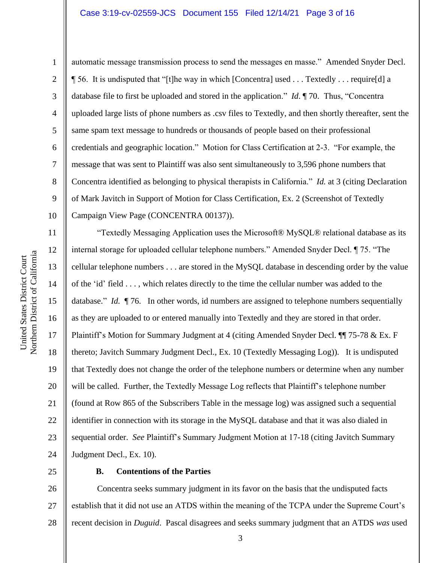## Case 3:19-cv-02559-JCS Document 155 Filed 12/14/21 Page 3 of 16

1

2

3

4

5

6

7

8

9

10

11

12

13

15

17

18

19

21

automatic message transmission process to send the messages en masse." Amended Snyder Decl. ¶ 56. It is undisputed that "[t]he way in which [Concentra] used . . . Textedly . . . require[d] a database file to first be uploaded and stored in the application." *Id*. ¶ 70. Thus, "Concentra uploaded large lists of phone numbers as .csv files to Textedly, and then shortly thereafter, sent the same spam text message to hundreds or thousands of people based on their professional credentials and geographic location." Motion for Class Certification at 2-3. "For example, the message that was sent to Plaintiff was also sent simultaneously to 3,596 phone numbers that Concentra identified as belonging to physical therapists in California." *Id.* at 3 (citing Declaration of Mark Javitch in Support of Motion for Class Certification, Ex. 2 (Screenshot of Textedly Campaign View Page (CONCENTRA 00137)).

14 16 20 22 24 "Textedly Messaging Application uses the Microsoft® MySQL® relational database as its internal storage for uploaded cellular telephone numbers." Amended Snyder Decl. ¶ 75. "The cellular telephone numbers . . . are stored in the MySQL database in descending order by the value of the 'id' field . . . , which relates directly to the time the cellular number was added to the database." *Id.* ¶ 76. In other words, id numbers are assigned to telephone numbers sequentially as they are uploaded to or entered manually into Textedly and they are stored in that order. Plaintiff's Motion for Summary Judgment at 4 (citing Amended Snyder Decl. ¶ 75-78 & Ex. F thereto; Javitch Summary Judgment Decl., Ex. 10 (Textedly Messaging Log)). It is undisputed that Textedly does not change the order of the telephone numbers or determine when any number will be called. Further, the Textedly Message Log reflects that Plaintiff's telephone number (found at Row 865 of the Subscribers Table in the message log) was assigned such a sequential identifier in connection with its storage in the MySQL database and that it was also dialed in sequential order. *See* Plaintiff's Summary Judgment Motion at 17-18 (citing Javitch Summary Judgment Decl., Ex. 10).

25

23

#### **B. Contentions of the Parties**

26 27 28 Concentra seeks summary judgment in its favor on the basis that the undisputed facts establish that it did not use an ATDS within the meaning of the TCPA under the Supreme Court's recent decision in *Duguid*. Pascal disagrees and seeks summary judgment that an ATDS *was* used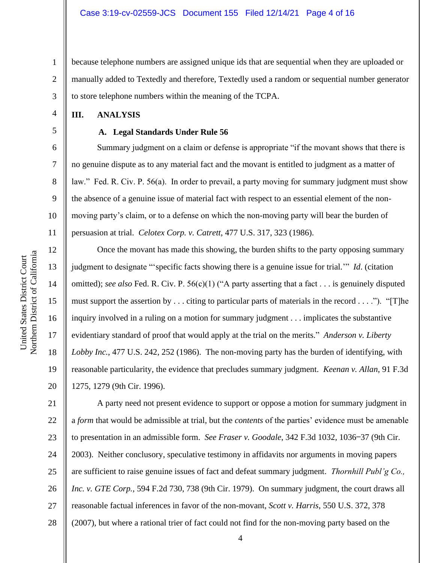1 2 3 because telephone numbers are assigned unique ids that are sequential when they are uploaded or manually added to Textedly and therefore, Textedly used a random or sequential number generator to store telephone numbers within the meaning of the TCPA.

## **III. ANALYSIS**

4

5

6

7

8

9

10

11

12

13

14

15

16

17

18

19

20

### **A. Legal Standards Under Rule 56**

Summary judgment on a claim or defense is appropriate "if the movant shows that there is no genuine dispute as to any material fact and the movant is entitled to judgment as a matter of law." Fed. R. Civ. P. 56(a). In order to prevail, a party moving for summary judgment must show the absence of a genuine issue of material fact with respect to an essential element of the nonmoving party's claim, or to a defense on which the non-moving party will bear the burden of persuasion at trial. *Celotex Corp. v. Catrett*, 477 U.S. 317, 323 (1986).

Once the movant has made this showing, the burden shifts to the party opposing summary judgment to designate "'specific facts showing there is a genuine issue for trial.'" *Id*. (citation omitted); *see also* Fed. R. Civ. P. 56(c)(1) ("A party asserting that a fact . . . is genuinely disputed must support the assertion by . . . citing to particular parts of materials in the record . . . ."). "[T]he inquiry involved in a ruling on a motion for summary judgment . . . implicates the substantive evidentiary standard of proof that would apply at the trial on the merits." *Anderson v. Liberty Lobby Inc.*, 477 U.S. 242, 252 (1986). The non-moving party has the burden of identifying, with reasonable particularity, the evidence that precludes summary judgment. *Keenan v. Allan*, 91 F.3d 1275, 1279 (9th Cir. 1996).

21 22 23 24 25 26 27 28 A party need not present evidence to support or oppose a motion for summary judgment in a *form* that would be admissible at trial, but the *contents* of the parties' evidence must be amenable to presentation in an admissible form. *See Fraser v. Goodale*, 342 F.3d 1032, 1036−37 (9th Cir. 2003). Neither conclusory, speculative testimony in affidavits nor arguments in moving papers are sufficient to raise genuine issues of fact and defeat summary judgment. *Thornhill Publ'g Co., Inc. v. GTE Corp.*, 594 F.2d 730, 738 (9th Cir. 1979). On summary judgment, the court draws all reasonable factual inferences in favor of the non-movant, *Scott v. Harris*, 550 U.S. 372, 378 (2007), but where a rational trier of fact could not find for the non-moving party based on the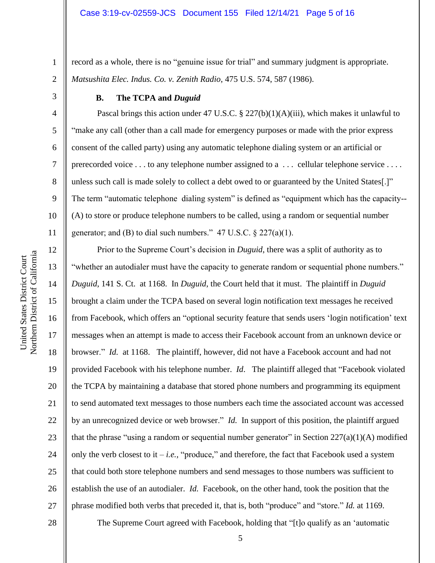record as a whole, there is no "genuine issue for trial" and summary judgment is appropriate. *Matsushita Elec. Indus. Co. v. Zenith Radio*, 475 U.S. 574, 587 (1986).

1

2

3

4

5

6

7

8

9

10

11

12

13

14

15

16

17

18

19

20

21

22

23

24

25

26

27

## **B. The TCPA and** *Duguid*

Pascal brings this action under 47 U.S.C. § 227(b)(1)(A)(iii), which makes it unlawful to "make any call (other than a call made for emergency purposes or made with the prior express consent of the called party) using any automatic telephone dialing system or an artificial or prerecorded voice . . . to any telephone number assigned to a . . . cellular telephone service . . . . unless such call is made solely to collect a debt owed to or guaranteed by the United States[.]" The term "automatic telephone dialing system" is defined as "equipment which has the capacity-- (A) to store or produce telephone numbers to be called, using a random or sequential number generator; and (B) to dial such numbers."  $47 \text{ U.S.C.} \$   $227(a)(1)$ .

Prior to the Supreme Court's decision in *Duguid*, there was a split of authority as to "whether an autodialer must have the capacity to generate random or sequential phone numbers." *Duguid*, 141 S. Ct. at 1168. In *Duguid*, the Court held that it must. The plaintiff in *Duguid*  brought a claim under the TCPA based on several login notification text messages he received from Facebook, which offers an "optional security feature that sends users 'login notification' text messages when an attempt is made to access their Facebook account from an unknown device or browser." *Id.* at 1168. The plaintiff, however, did not have a Facebook account and had not provided Facebook with his telephone number. *Id*. The plaintiff alleged that "Facebook violated the TCPA by maintaining a database that stored phone numbers and programming its equipment to send automated text messages to those numbers each time the associated account was accessed by an unrecognized device or web browser." *Id.* In support of this position, the plaintiff argued that the phrase "using a random or sequential number generator" in Section  $227(a)(1)(A)$  modified only the verb closest to it  $-i.e.,$  "produce," and therefore, the fact that Facebook used a system that could both store telephone numbers and send messages to those numbers was sufficient to establish the use of an autodialer. *Id.* Facebook, on the other hand, took the position that the phrase modified both verbs that preceded it, that is, both "produce" and "store." *Id.* at 1169.

Northern District of California Northern District of California United States District Court United States District Court

The Supreme Court agreed with Facebook, holding that "[t]o qualify as an 'automatic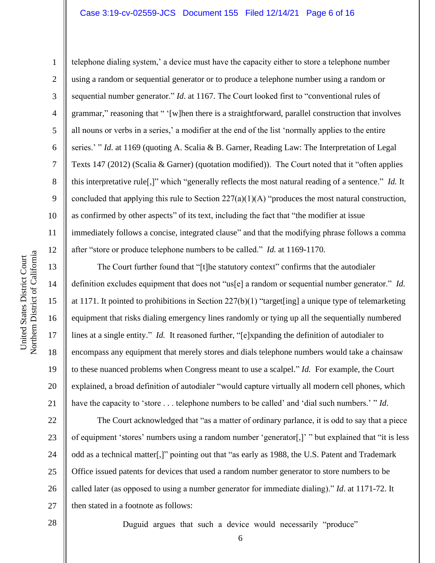## Case 3:19-cv-02559-JCS Document 155 Filed 12/14/21 Page 6 of 16

10 11 12 Northern District of California Northern District of California United States District Court 13 14 15 16 17

United States District Court

1 2 3 4 5 6 7 8 9 telephone dialing system,' a device must have the capacity either to store a telephone number using a random or sequential generator or to produce a telephone number using a random or sequential number generator." *Id*. at 1167. The Court looked first to "conventional rules of grammar," reasoning that " '[w]hen there is a straightforward, parallel construction that involves all nouns or verbs in a series,' a modifier at the end of the list 'normally applies to the entire series.' " *Id.* at 1169 (quoting A. Scalia & B. Garner, Reading Law: The Interpretation of Legal Texts 147 (2012) (Scalia & Garner) (quotation modified)). The Court noted that it "often applies this interpretative rule[,]" which "generally reflects the most natural reading of a sentence." *Id.* It concluded that applying this rule to Section 227(a)(1)(A) "produces the most natural construction, as confirmed by other aspects" of its text, including the fact that "the modifier at issue immediately follows a concise, integrated clause" and that the modifying phrase follows a comma after "store or produce telephone numbers to be called." *Id.* at 1169-1170.

The Court further found that "[t]he statutory context" confirms that the autodialer definition excludes equipment that does not "us[e] a random or sequential number generator." *Id.*  at 1171. It pointed to prohibitions in Section 227(b)(1) "target[ing] a unique type of telemarketing equipment that risks dialing emergency lines randomly or tying up all the sequentially numbered lines at a single entity." *Id.* It reasoned further, "[e]xpanding the definition of autodialer to encompass any equipment that merely stores and dials telephone numbers would take a chainsaw to these nuanced problems when Congress meant to use a scalpel." *Id.* For example, the Court explained, a broad definition of autodialer "would capture virtually all modern cell phones, which have the capacity to 'store . . . telephone numbers to be called' and 'dial such numbers.' " *Id*.

22 24 26 27 The Court acknowledged that "as a matter of ordinary parlance, it is odd to say that a piece of equipment 'stores' numbers using a random number 'generator[,]' " but explained that "it is less odd as a technical matter[,]" pointing out that "as early as 1988, the U.S. Patent and Trademark Office issued patents for devices that used a random number generator to store numbers to be called later (as opposed to using a number generator for immediate dialing)." *Id*. at 1171-72. It then stated in a footnote as follows:

28

18

19

20

21

23

25

Duguid argues that such a device would necessarily "produce"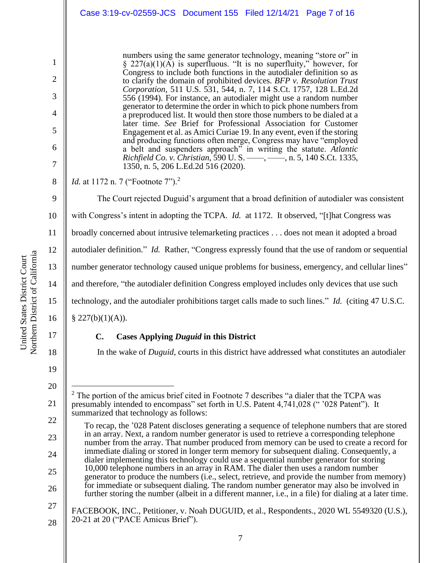numbers using the same generator technology, meaning "store or" in  $\S 227(a)(1)(\overrightarrow{A})$  is superfluous. "It is no superfluity," however, for Congress to include both functions in the autodialer definition so as to clarify the domain of prohibited devices. *BFP v. Resolution Trust Corporation*, 511 U.S. 531, 544, n. 7, 114 S.Ct. 1757, 128 L.Ed.2d 556 (1994). For instance, an autodialer might use a random number generator to determine the order in which to pick phone numbers from a preproduced list. It would then store those numbers to be dialed at a later time. *See* Brief for Professional Association for Customer Engagement et al. as Amici Curiae 19. In any event, even if the storing and producing functions often merge, Congress may have "employed a belt and suspenders approach" in writing the statute. *Atlantic Richfield Co. v. Christian*, 590 U. S. ––––, ––––, n. 5, 140 S.Ct. 1335, 1350, n. 5, 206 L.Ed.2d 516 (2020).

*Id.* at 1172 n. 7 ("Footnote 7").<sup>2</sup>

9 10 11 12 13 14 15 16 The Court rejected Duguid's argument that a broad definition of autodialer was consistent with Congress's intent in adopting the TCPA. *Id.* at 1172. It observed, "[t]hat Congress was broadly concerned about intrusive telemarketing practices . . . does not mean it adopted a broad autodialer definition." *Id.* Rather, "Congress expressly found that the use of random or sequential number generator technology caused unique problems for business, emergency, and cellular lines" and therefore, "the autodialer definition Congress employed includes only devices that use such technology, and the autodialer prohibitions target calls made to such lines." *Id.* (citing 47 U.S.C. § 227(b)(1)(A)).

## **C. Cases Applying** *Duguid* **in this District**

In the wake of *Duguid*, courts in this district have addressed what constitutes an autodialer

1

2

3

4

5

6

7

8

22 23 24

25

26

17

18

19

<sup>21</sup>  $2$  The portion of the amicus brief cited in Footnote 7 describes "a dialer that the TCPA was presumably intended to encompass" set forth in U.S. Patent 4,741,028 (" '028 Patent"). It summarized that technology as follows:

To recap, the '028 Patent discloses generating a sequence of telephone numbers that are stored in an array. Next, a random number generator is used to retrieve a corresponding telephone number from the array. That number produced from memory can be used to create a record for immediate dialing or stored in longer term memory for subsequent dialing. Consequently, a dialer implementing this technology could use a sequential number generator for storing 10,000 telephone numbers in an array in RAM. The dialer then uses a random number generator to produce the numbers (i.e., select, retrieve, and provide the number from memory) for immediate or subsequent dialing. The random number generator may also be involved in further storing the number (albeit in a different manner, i.e., in a file) for dialing at a later time.

<sup>27</sup> 28 FACEBOOK, INC., Petitioner, v. Noah DUGUID, et al., Respondents., 2020 WL 5549320 (U.S.), 20-21 at 20 ("PACE Amicus Brief").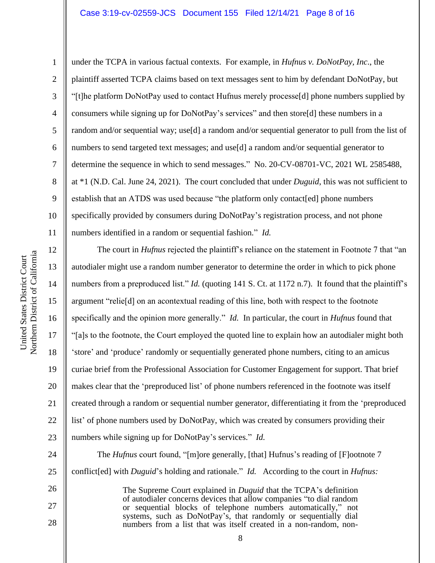### Case 3:19-cv-02559-JCS Document 155 Filed 12/14/21 Page 8 of 16

Northern District of California Northern District of California United States District Court United States District Court

1

2

3

4

5

6

7

8

9

10

11

13

14

15

17

18

19

21

26

27

28

under the TCPA in various factual contexts. For example, in *Hufnus v. DoNotPay, Inc*., the plaintiff asserted TCPA claims based on text messages sent to him by defendant DoNotPay, but "[t]he platform DoNotPay used to contact Hufnus merely processe[d] phone numbers supplied by consumers while signing up for DoNotPay's services" and then store[d] these numbers in a random and/or sequential way; use[d] a random and/or sequential generator to pull from the list of numbers to send targeted text messages; and use[d] a random and/or sequential generator to determine the sequence in which to send messages." No. 20-CV-08701-VC, 2021 WL 2585488, at \*1 (N.D. Cal. June 24, 2021). The court concluded that under *Duguid*, this was not sufficient to establish that an ATDS was used because "the platform only contact[ed] phone numbers specifically provided by consumers during DoNotPay's registration process, and not phone numbers identified in a random or sequential fashion." *Id.*

12 16 20 22 23 The court in *Hufnus* rejected the plaintiff's reliance on the statement in Footnote 7 that "an autodialer might use a random number generator to determine the order in which to pick phone numbers from a preproduced list." *Id.* (quoting 141 S. Ct. at 1172 n.7). It found that the plaintiff's argument "relie[d] on an acontextual reading of this line, both with respect to the footnote specifically and the opinion more generally." *Id.* In particular, the court in *Hufnus* found that "[a]s to the footnote, the Court employed the quoted line to explain how an autodialer might both 'store' and 'produce' randomly or sequentially generated phone numbers, citing to an amicus curiae brief from the Professional Association for Customer Engagement for support. That brief makes clear that the 'preproduced list' of phone numbers referenced in the footnote was itself created through a random or sequential number generator, differentiating it from the 'preproduced list' of phone numbers used by DoNotPay, which was created by consumers providing their numbers while signing up for DoNotPay's services." *Id.*

24 25 The *Hufnus* court found, "[m]ore generally, [that] Hufnus's reading of [F]ootnote 7 conflict[ed] with *Duguid*'s holding and rationale." *Id.* According to the court in *Hufnus:*

> The Supreme Court explained in *Duguid* that the TCPA's definition of autodialer concerns devices that allow companies "to dial random or sequential blocks of telephone numbers automatically," not systems, such as DoNotPay's, that randomly or sequentially dial numbers from a list that was itself created in a non-random, non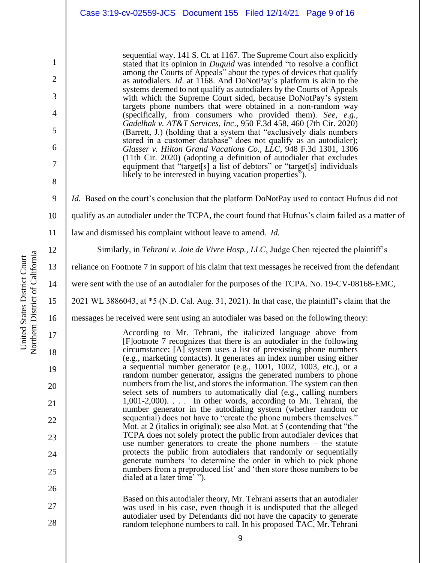sequential way. 141 S. Ct. at 1167. The Supreme Court also explicitly stated that its opinion in *Duguid* was intended "to resolve a conflict among the Courts of Appeals" about the types of devices that qualify as autodialers. *Id*. at 1168. And DoNotPay's platform is akin to the systems deemed to not qualify as autodialers by the Courts of Appeals with which the Supreme Court sided, because DoNotPay's system targets phone numbers that were obtained in a non-random way (specifically, from consumers who provided them). *See, e.g., Gadelhak v. AT&T Services, Inc*., 950 F.3d 458, 460 (7th Cir. 2020) (Barrett, J.) (holding that a system that "exclusively dials numbers stored in a customer database" does not qualify as an autodialer); *Glasser v. Hilton Grand Vacations Co., LLC*, 948 F.3d 1301, 1306 (11th Cir. 2020) (adopting a definition of autodialer that excludes equipment that "target[s] a list of debtors" or "target[s] individuals likely to be interested in buying vacation properties").

*Id.* Based on the court's conclusion that the platform DoNotPay used to contact Hufnus did not

- 10 qualify as an autodialer under the TCPA, the court found that Hufnus's claim failed as a matter of
- 11 law and dismissed his complaint without leave to amend. *Id.*

Similarly, in *Tehrani v. Joie de Vivre Hosp., LLC*, Judge Chen rejected the plaintiff's

- reliance on Footnote 7 in support of his claim that text messages he received from the defendant
- were sent with the use of an autodialer for the purposes of the TCPA. No. 19-CV-08168-EMC,
- 2021 WL 3886043, at \*5 (N.D. Cal. Aug. 31, 2021). In that case, the plaintiff's claim that the
- 16 messages he received were sent using an autodialer was based on the following theory:

According to Mr. Tehrani, the italicized language above from [F]ootnote 7 recognizes that there is an autodialer in the following circumstance: [A] system uses a list of preexisting phone numbers (e.g., marketing contacts). It generates an index number using either a sequential number generator (e.g., 1001, 1002, 1003, etc.), or a random number generator, assigns the generated numbers to phone numbers from the list, and stores the information. The system can then select sets of numbers to automatically dial (e.g., calling numbers 1,001-2,000). . . . In other words, according to Mr. Tehrani, the number generator in the autodialing system (whether random or sequential) does not have to "create the phone numbers themselves." Mot. at 2 (italics in original); see also Mot. at 5 (contending that "the TCPA does not solely protect the public from autodialer devices that use number generators to create the phone numbers – the statute protects the public from autodialers that randomly or sequentially generate numbers 'to determine the order in which to pick phone numbers from a preproduced list' and 'then store those numbers to be dialed at a later time' ").

27 28 Based on this autodialer theory, Mr. Tehrani asserts that an autodialer was used in his case, even though it is undisputed that the alleged autodialer used by Defendants did not have the capacity to generate random telephone numbers to call. In his proposed TAC, Mr. Tehrani

1

2

3

4

5

6

7

8

9

12

13

14

15

17

18

19

20

21

22

23

24

25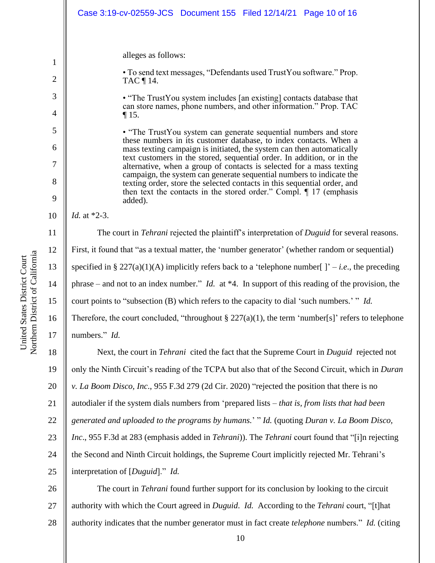|        | Case 3:19-cv-02559-JCS Document 155 Filed 12/14/21 Page 10 of 16                                                                                                                                                                                                                         |
|--------|------------------------------------------------------------------------------------------------------------------------------------------------------------------------------------------------------------------------------------------------------------------------------------------|
| 1      | alleges as follows:<br>• To send text messages, "Defendants used TrustYou software." Prop.                                                                                                                                                                                               |
| 2      | TAC ¶ 14.                                                                                                                                                                                                                                                                                |
| 3<br>4 | • "The TrustYou system includes [an existing] contacts database that<br>can store names, phone numbers, and other information." Prop. TAC<br>$\P$ 15.                                                                                                                                    |
| 5<br>6 | • "The TrustYou system can generate sequential numbers and store<br>these numbers in its customer database, to index contacts. When a<br>mass texting campaign is initiated, the system can then automatically<br>text customers in the stored, sequential order. In addition, or in the |
| 7      | alternative, when a group of contacts is selected for a mass texting<br>campaign, the system can generate sequential numbers to indicate the                                                                                                                                             |
| 8      | texting order, store the selected contacts in this sequential order, and<br>then text the contacts in the stored order." Compl. $\P$ 17 (emphasis                                                                                                                                        |
| 9      | added).                                                                                                                                                                                                                                                                                  |
| 10     | <i>Id.</i> at *2-3.                                                                                                                                                                                                                                                                      |
| 11     | The court in <i>Tehrani</i> rejected the plaintiff's interpretation of <i>Duguid</i> for several reasons.                                                                                                                                                                                |
| 12     | First, it found that "as a textual matter, the 'number generator' (whether random or sequential)                                                                                                                                                                                         |
| 13     | specified in § 227(a)(1)(A) implicitly refers back to a 'telephone number[ ]' – <i>i.e.</i> , the preceding                                                                                                                                                                              |
| 14     | phrase – and not to an index number." <i>Id.</i> at *4. In support of this reading of the provision, the                                                                                                                                                                                 |
| 15     | court points to "subsection (B) which refers to the capacity to dial 'such numbers.' " Id.                                                                                                                                                                                               |
| 16     | Therefore, the court concluded, "throughout $\S 227(a)(1)$ , the term 'number[s]' refers to telephone                                                                                                                                                                                    |
| 17     | numbers." Id.                                                                                                                                                                                                                                                                            |
| 18     | Next, the court in <i>Tehrani</i> cited the fact that the Supreme Court in <i>Duguid</i> rejected not                                                                                                                                                                                    |
| 19     | only the Ninth Circuit's reading of the TCPA but also that of the Second Circuit, which in Duran                                                                                                                                                                                         |
| 20     | v. La Boom Disco, Inc., 955 F.3d 279 (2d Cir. 2020) "rejected the position that there is no                                                                                                                                                                                              |
| 21     | autodialer if the system dials numbers from 'prepared lists – that is, from lists that had been                                                                                                                                                                                          |
| 22     | generated and uploaded to the programs by humans.' "Id. (quoting Duran v. La Boom Disco,                                                                                                                                                                                                 |
| 23     | Inc., 955 F.3d at 283 (emphasis added in <i>Tehrani</i> )). The <i>Tehrani</i> court found that "[i]n rejecting                                                                                                                                                                          |
| 24     | the Second and Ninth Circuit holdings, the Supreme Court implicitly rejected Mr. Tehrani's                                                                                                                                                                                               |
| 25     | interpretation of [Duguid]." Id.                                                                                                                                                                                                                                                         |
| 26     | The court in <i>Tehrani</i> found further support for its conclusion by looking to the circuit                                                                                                                                                                                           |

 $26$ 27 28 authority with which the Court agreed in *Duguid*. *Id.* According to the *Tehrani* court, "[t]hat authority indicates that the number generator must in fact create *telephone* numbers." *Id.* (citing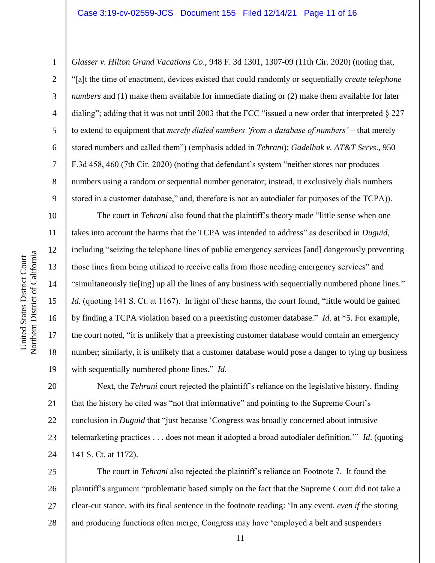1

2

3

5

8

9

10

11

12

13

14

15

16

17

18

19

4 6 7 *Glasser v. Hilton Grand Vacations Co*., 948 F. 3d 1301, 1307-09 (11th Cir. 2020) (noting that, "[a]t the time of enactment, devices existed that could randomly or sequentially *create telephone numbers* and (1) make them available for immediate dialing or (2) make them available for later dialing"; adding that it was not until 2003 that the FCC "issued a new order that interpreted § 227 to extend to equipment that *merely dialed numbers 'from a database of numbers'* – that merely stored numbers and called them") (emphasis added in *Tehrani*); *Gadelhak v. AT&T Servs*., 950 F.3d 458, 460 (7th Cir. 2020) (noting that defendant's system "neither stores nor produces numbers using a random or sequential number generator; instead, it exclusively dials numbers stored in a customer database," and, therefore is not an autodialer for purposes of the TCPA)).

The court in *Tehrani* also found that the plaintiff's theory made "little sense when one takes into account the harms that the TCPA was intended to address" as described in *Duguid*, including "seizing the telephone lines of public emergency services [and] dangerously preventing those lines from being utilized to receive calls from those needing emergency services" and "simultaneously tie[ing] up all the lines of any business with sequentially numbered phone lines." *Id.* (quoting 141 S. Ct. at 1167). In light of these harms, the court found, "little would be gained by finding a TCPA violation based on a preexisting customer database." *Id.* at \*5. For example, the court noted, "it is unlikely that a preexisting customer database would contain an emergency number; similarly, it is unlikely that a customer database would pose a danger to tying up business with sequentially numbered phone lines." *Id.* 

20 21 22 23 24 Next, the *Tehrani* court rejected the plaintiff's reliance on the legislative history, finding that the history he cited was "not that informative" and pointing to the Supreme Court's conclusion in *Duguid* that "just because 'Congress was broadly concerned about intrusive telemarketing practices . . . does not mean it adopted a broad autodialer definition.'" *Id*. (quoting 141 S. Ct. at 1172).

25 26 27 28 The court in *Tehrani* also rejected the plaintiff's reliance on Footnote 7. It found the plaintiff's argument "problematic based simply on the fact that the Supreme Court did not take a clear-cut stance, with its final sentence in the footnote reading: 'In any event, *even if* the storing and producing functions often merge, Congress may have 'employed a belt and suspenders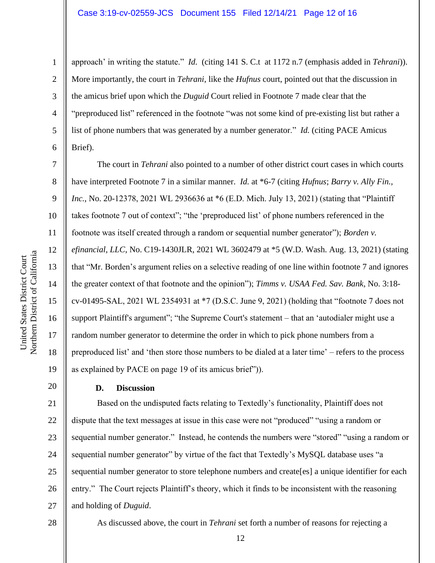## Case 3:19-cv-02559-JCS Document 155 Filed 12/14/21 Page 12 of 16

approach' in writing the statute." *Id.* (citing 141 S. C.t at 1172 n.7 (emphasis added in *Tehrani*)). More importantly, the court in *Tehrani*, like the *Hufnus* court, pointed out that the discussion in the amicus brief upon which the *Duguid* Court relied in Footnote 7 made clear that the "preproduced list" referenced in the footnote "was not some kind of pre-existing list but rather a list of phone numbers that was generated by a number generator." *Id.* (citing PACE Amicus Brief).

The court in *Tehrani* also pointed to a number of other district court cases in which courts have interpreted Footnote 7 in a similar manner. *Id.* at \*6-7 (citing *Hufnus*; *Barry v. Ally Fin., Inc.*, No. 20-12378, 2021 WL 2936636 at \*6 (E.D. Mich. July 13, 2021) (stating that "Plaintiff takes footnote 7 out of context"; "the 'preproduced list' of phone numbers referenced in the footnote was itself created through a random or sequential number generator"); *Borden v. efinancial, LLC*, No. C19-1430JLR, 2021 WL 3602479 at \*5 (W.D. Wash. Aug. 13, 2021) (stating that "Mr. Borden's argument relies on a selective reading of one line within footnote 7 and ignores the greater context of that footnote and the opinion"); *Timms v. USAA Fed. Sav. Bank*, No. 3:18 cv-01495-SAL, 2021 WL 2354931 at \*7 (D.S.C. June 9, 2021) (holding that "footnote 7 does not support Plaintiff's argument"; "the Supreme Court's statement – that an 'autodialer might use a random number generator to determine the order in which to pick phone numbers from a preproduced list' and 'then store those numbers to be dialed at a later time' – refers to the process as explained by PACE on page 19 of its amicus brief")).

#### **D. Discussion**

21 22 23 24 25 26 27 Based on the undisputed facts relating to Textedly's functionality, Plaintiff does not dispute that the text messages at issue in this case were not "produced" "using a random or sequential number generator." Instead, he contends the numbers were "stored" "using a random or sequential number generator" by virtue of the fact that Textedly's MySQL database uses "a sequential number generator to store telephone numbers and create[es] a unique identifier for each entry." The Court rejects Plaintiff's theory, which it finds to be inconsistent with the reasoning and holding of *Duguid*.

28

Northern District of California Northern District of California United States District Court United States District Court

1

2

3

4

5

6

7

8

9

10

11

12

13

14

15

16

17

18

19

20

As discussed above, the court in *Tehrani* set forth a number of reasons for rejecting a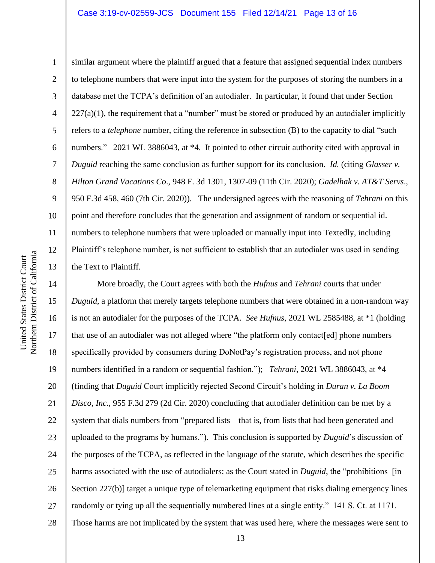### Case 3:19-cv-02559-JCS Document 155 Filed 12/14/21 Page 13 of 16

10 11 12 Northern District of California Northern District of California 13 14 15 16

United States District Court

United States District Court

1 2 3 4 5 6 7 8 9 similar argument where the plaintiff argued that a feature that assigned sequential index numbers to telephone numbers that were input into the system for the purposes of storing the numbers in a database met the TCPA's definition of an autodialer. In particular, it found that under Section  $227(a)(1)$ , the requirement that a "number" must be stored or produced by an autodialer implicitly refers to a *telephone* number, citing the reference in subsection (B) to the capacity to dial "such numbers." 2021 WL 3886043, at \*4. It pointed to other circuit authority cited with approval in *Duguid* reaching the same conclusion as further support for its conclusion. *Id.* (citing *Glasser v. Hilton Grand Vacations Co*., 948 F. 3d 1301, 1307-09 (11th Cir. 2020); *Gadelhak v. AT&T Servs*., 950 F.3d 458, 460 (7th Cir. 2020)). The undersigned agrees with the reasoning of *Tehrani* on this point and therefore concludes that the generation and assignment of random or sequential id. numbers to telephone numbers that were uploaded or manually input into Textedly, including Plaintiff's telephone number, is not sufficient to establish that an autodialer was used in sending the Text to Plaintiff.

17 18 19 20 21 22 23 24 25 26 27 28 More broadly, the Court agrees with both the *Hufnus* and *Tehrani* courts that under *Duguid*, a platform that merely targets telephone numbers that were obtained in a non-random way is not an autodialer for the purposes of the TCPA. *See Hufnus*, 2021 WL 2585488, at \*1 (holding that use of an autodialer was not alleged where "the platform only contact[ed] phone numbers specifically provided by consumers during DoNotPay's registration process, and not phone numbers identified in a random or sequential fashion."); *Tehrani*, 2021 WL 3886043, at \*4 (finding that *Duguid* Court implicitly rejected Second Circuit's holding in *Duran v. La Boom Disco, Inc*., 955 F.3d 279 (2d Cir. 2020) concluding that autodialer definition can be met by a system that dials numbers from "prepared lists – that is, from lists that had been generated and uploaded to the programs by humans."). This conclusion is supported by *Duguid*'s discussion of the purposes of the TCPA, as reflected in the language of the statute, which describes the specific harms associated with the use of autodialers; as the Court stated in *Duguid*, the "prohibitions [in] Section 227(b)] target a unique type of telemarketing equipment that risks dialing emergency lines randomly or tying up all the sequentially numbered lines at a single entity." 141 S. Ct. at 1171. Those harms are not implicated by the system that was used here, where the messages were sent to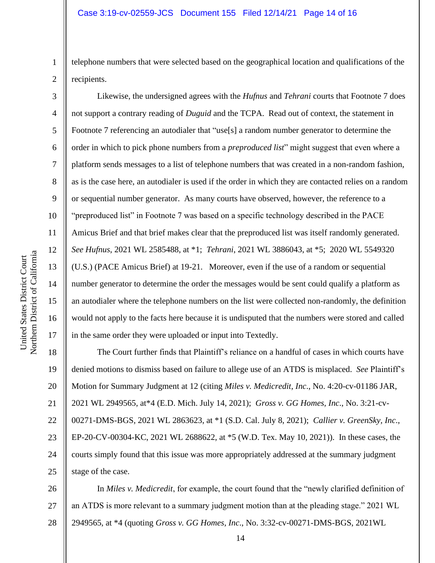telephone numbers that were selected based on the geographical location and qualifications of the recipients.

Likewise, the undersigned agrees with the *Hufnus* and *Tehrani* courts that Footnote 7 does not support a contrary reading of *Duguid* and the TCPA. Read out of context, the statement in Footnote 7 referencing an autodialer that "use[s] a random number generator to determine the order in which to pick phone numbers from a *preproduced list*" might suggest that even where a platform sends messages to a list of telephone numbers that was created in a non-random fashion, as is the case here, an autodialer is used if the order in which they are contacted relies on a random or sequential number generator. As many courts have observed, however, the reference to a "preproduced list" in Footnote 7 was based on a specific technology described in the PACE Amicus Brief and that brief makes clear that the preproduced list was itself randomly generated. *See Hufnus*, 2021 WL 2585488, at \*1; *Tehrani*, 2021 WL 3886043, at \*5; 2020 WL 5549320 (U.S.) (PACE Amicus Brief) at 19-21. Moreover, even if the use of a random or sequential number generator to determine the order the messages would be sent could qualify a platform as an autodialer where the telephone numbers on the list were collected non-randomly, the definition would not apply to the facts here because it is undisputed that the numbers were stored and called in the same order they were uploaded or input into Textedly.

18 19 20 21 22 23 24 25 The Court further finds that Plaintiff's reliance on a handful of cases in which courts have denied motions to dismiss based on failure to allege use of an ATDS is misplaced. *See* Plaintiff's Motion for Summary Judgment at 12 (citing *Miles v. Medicredit, Inc*., No. 4:20-cv-01186 JAR, 2021 WL 2949565, at\*4 (E.D. Mich. July 14, 2021); *Gross v. GG Homes, Inc*., No. 3:21-cv-00271-DMS-BGS, 2021 WL 2863623, at \*1 (S.D. Cal. July 8, 2021); *Callier v. GreenSky, Inc*., EP-20-CV-00304-KC, 2021 WL 2688622, at \*5 (W.D. Tex. May 10, 2021)). In these cases, the courts simply found that this issue was more appropriately addressed at the summary judgment stage of the case.

26 27 28 In *Miles v. Medicredit*, for example, the court found that the "newly clarified definition of an ATDS is more relevant to a summary judgment motion than at the pleading stage." 2021 WL 2949565, at \*4 (quoting *Gross v. GG Homes, Inc*., No. 3:32-cv-00271-DMS-BGS, 2021WL

1

2

3

4

5

6

7

8

9

10

11

12

13

14

15

16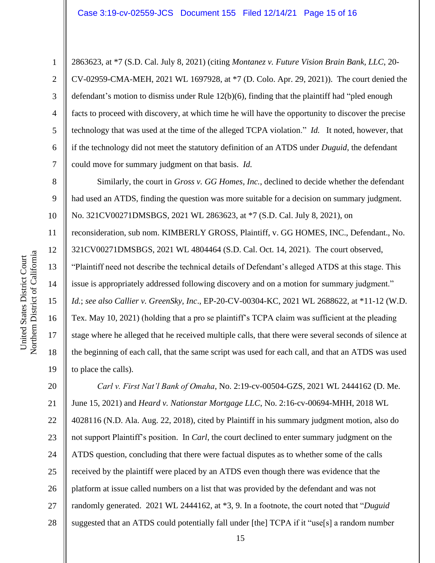2863623, at \*7 (S.D. Cal. July 8, 2021) (citing *Montanez v. Future Vision Brain Bank, LLC*, 20- CV-02959-CMA-MEH, 2021 WL 1697928, at \*7 (D. Colo. Apr. 29, 2021)). The court denied the defendant's motion to dismiss under Rule 12(b)(6), finding that the plaintiff had "pled enough facts to proceed with discovery, at which time he will have the opportunity to discover the precise technology that was used at the time of the alleged TCPA violation." *Id.* It noted, however, that if the technology did not meet the statutory definition of an ATDS under *Duguid*, the defendant could move for summary judgment on that basis. *Id.* 

Similarly, the court in *Gross v. GG Homes, Inc.*, declined to decide whether the defendant had used an ATDS, finding the question was more suitable for a decision on summary judgment. No. 321CV00271DMSBGS, 2021 WL 2863623, at \*7 (S.D. Cal. July 8, 2021), on

11 12 reconsideration, sub nom. KIMBERLY GROSS, Plaintiff, v. GG HOMES, INC., Defendant., No. 321CV00271DMSBGS, 2021 WL 4804464 (S.D. Cal. Oct. 14, 2021). The court observed,

"Plaintiff need not describe the technical details of Defendant's alleged ATDS at this stage. This issue is appropriately addressed following discovery and on a motion for summary judgment."

15 *Id.*; *see also Callier v. GreenSky, Inc*., EP-20-CV-00304-KC, 2021 WL 2688622, at \*11-12 (W.D.

Tex. May 10, 2021) (holding that a pro se plaintiff's TCPA claim was sufficient at the pleading stage where he alleged that he received multiple calls, that there were several seconds of silence at the beginning of each call, that the same script was used for each call, and that an ATDS was used to place the calls).

20 21 22 23 24 25 26 27 28 *Carl v. First Nat'l Bank of Omaha*, No. 2:19-cv-00504-GZS, 2021 WL 2444162 (D. Me. June 15, 2021) and *Heard v. Nationstar Mortgage LLC*, No. 2:16-cv-00694-MHH, 2018 WL 4028116 (N.D. Ala. Aug. 22, 2018), cited by Plaintiff in his summary judgment motion, also do not support Plaintiff's position. In *Carl*, the court declined to enter summary judgment on the ATDS question, concluding that there were factual disputes as to whether some of the calls received by the plaintiff were placed by an ATDS even though there was evidence that the platform at issue called numbers on a list that was provided by the defendant and was not randomly generated. 2021 WL 2444162, at \*3, 9. In a footnote, the court noted that "*Duguid* suggested that an ATDS could potentially fall under [the] TCPA if it "use[s] a random number

1

2

3

4

5

6

7

8

9

10

13

14

16

17

18